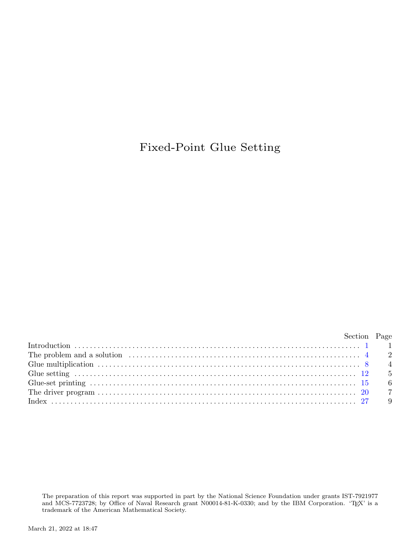## Fixed-Point Glue Setting

| Section Page                                                                                                                                                                                                                     |  |
|----------------------------------------------------------------------------------------------------------------------------------------------------------------------------------------------------------------------------------|--|
|                                                                                                                                                                                                                                  |  |
| The problem and a solution $\ldots$ $\ldots$ $\ldots$ $\ldots$ $\ldots$ $\ldots$ $\ldots$ $\ldots$ $\ldots$ $\ldots$ $\ldots$ $\ldots$ $\ldots$ $\ldots$ $\ldots$ $\ldots$ $\ldots$ $\ldots$ $\ldots$ $\ldots$ $\ldots$ $\ldots$ |  |
|                                                                                                                                                                                                                                  |  |
| Glue setting $\ldots$ $\ldots$ $\ldots$ $\ldots$ $\ldots$ $\ldots$ $\ldots$ $\ldots$ $\ldots$ $\ldots$ $\ldots$ $\ldots$ $\ldots$ $\ldots$ $\ldots$ $\ldots$ $\vdots$ $\vdots$ $\vdots$ $\vdots$                                 |  |
|                                                                                                                                                                                                                                  |  |
|                                                                                                                                                                                                                                  |  |
|                                                                                                                                                                                                                                  |  |

The preparation of this report was supported in part by the National Science Foundation under grants IST-7921977 and MCS-7723728; by Office of Naval Research grant N00014-81-K-0330; and by the IBM Corporation. 'TEX' is a trademark of the American Mathematical Society.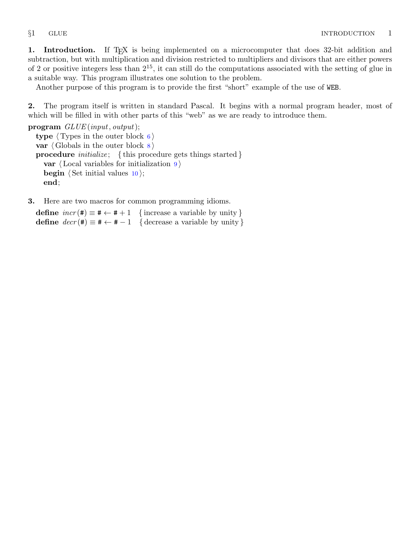<span id="page-1-0"></span>1. Introduction. If T<sub>EX</sub> is being implemented on a microcomputer that does 32-bit addition and subtraction, but with multiplication and division restricted to multipliers and divisors that are either powers of 2 or positive integers less than  $2^{15}$ , it can still do the computations associated with the setting of glue in a suitable way. This program illustrates one solution to the problem.

Another purpose of this program is to provide the first "short" example of the use of WEB.

2. The program itself is written in standard Pascal. It begins with a normal program header, most of which will be filled in with other parts of this "web" as we are ready to introduce them.

program GLUE (input, output); type  $\langle$  Types in the outer block [6](#page-3-0) $\rangle$ var  $\langle$  Globals in the outer block  $\langle$  [8](#page-4-0)  $\rangle$ **procedure** *initialize*; {this procedure gets things started } var  $\langle$  Local variables for initialization [9](#page-4-0) $\rangle$ **begin**  $\langle$  Set initial values [10](#page-4-0) $\rangle$ ; end;

3. Here are two macros for common programming idioms.

define  $\text{incr}(\texttt{\#}) \equiv \texttt{\#} \leftarrow \texttt{\#} + 1$  {increase a variable by unity } define  $decr(\texttt{#}) \equiv \texttt{#} \leftarrow \texttt{#} - 1$  { decrease a variable by unity }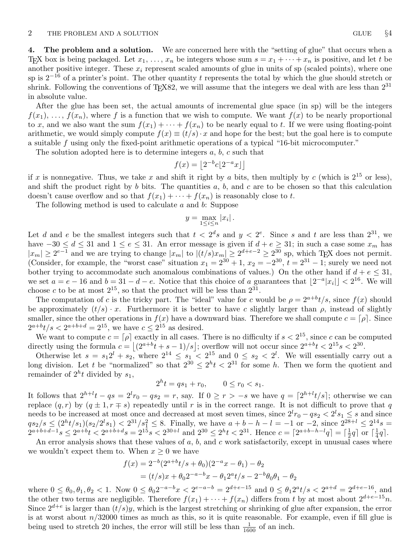<span id="page-2-0"></span>4. The problem and a solution. We are concerned here with the "setting of glue" that occurs when a T<sub>EX</sub> box is being packaged. Let  $x_1, \ldots, x_n$  be integers whose sum  $s = x_1 + \cdots + x_n$  is positive, and let t be another positive integer. These  $x_i$  represent scaled amounts of glue in units of sp (scaled points), where one sp is  $2^{-16}$  of a printer's point. The other quantity t represents the total by which the glue should stretch or shrink. Following the conventions of T<sub>E</sub>X82, we will assume that the integers we deal with are less than  $2^{31}$ in absolute value.

After the glue has been set, the actual amounts of incremental glue space (in sp) will be the integers  $f(x_1), \ldots, f(x_n)$ , where f is a function that we wish to compute. We want  $f(x)$  to be nearly proportional to x, and we also want the sum  $f(x_1) + \cdots + f(x_n)$  to be nearly equal to t. If we were using floating-point arithmetic, we would simply compute  $f(x) \equiv (t/s) \cdot x$  and hope for the best; but the goal here is to compute a suitable f using only the fixed-point arithmetic operations of a typical "16-bit microcomputer."

The solution adopted here is to determine integers  $a, b, c$  such that

$$
f(x) = \left\lfloor 2^{-b}c \lfloor 2^{-a}x \rfloor \right\rfloor
$$

if x is nonnegative. Thus, we take x and shift it right by a bits, then multiply by c (which is  $2^{15}$  or less), and shift the product right by  $b$  bits. The quantities  $a, b$ , and  $c$  are to be chosen so that this calculation doesn't cause overflow and so that  $f(x_1) + \cdots + f(x_n)$  is reasonably close to t.

The following method is used to calculate a and b: Suppose

$$
y = \max_{1 \leq i \leq n} |x_i|.
$$

Let d and e be the smallest integers such that  $t < 2<sup>d</sup> s$  and  $y < 2<sup>e</sup>$ . Since s and t are less than  $2<sup>31</sup>$ , we have  $-30 \le d \le 31$  and  $1 \le e \le 31$ . An error message is given if  $d + e \ge 31$ ; in such a case some  $x_m$  has  $|x_m| \geq 2^{e-1}$  and we are trying to change  $|x_m|$  to  $|(t/s)x_m| \geq 2^{d+e-2} \geq 2^{30}$  sp, which TEX does not permit. (Consider, for example, the "worst case" situation  $x_1 = 2^{30} + 1$ ,  $x_2 = -2^{30}$ ,  $t = 2^{31} - 1$ ; surely we need not bother trying to accommodate such anomalous combinations of values.) On the other hand if  $d + e \leq 31$ , we set  $a = e - 16$  and  $b = 31 - d - e$ . Notice that this choice of a guarantees that  $\lfloor 2^{-a} |x_i| \rfloor < 2^{16}$ . We will choose c to be at most  $2^{15}$ , so that the product will be less than  $2^{31}$ .

The computation of c is the tricky part. The "ideal" value for c would be  $\rho = 2^{a+b}t/s$ , since  $f(x)$  should be approximately  $(t/s) \cdot x$ . Furthermore it is better to have c slightly larger than  $\rho$ , instead of slightly smaller, since the other operations in  $f(x)$  have a downward bias. Therefore we shall compute  $c = \lceil \rho \rceil$ . Since  $2^{a+b}t/s < 2^{a+b+d} = 2^{15}$ , we have  $c \le 2^{15}$  as desired.

We want to compute  $c = \lceil \rho \rceil$  exactly in all cases. There is no difficulty if  $s < 2^{15}$ , since c can be computed directly using the formula  $c = |(2^{a+b}t + s - 1)/s|$ ; overflow will not occur since  $2^{a+b}t < 2^{15}s < 2^{30}$ .

Otherwise let  $s = s_1 2^l + s_2$ , where  $2^{14} \le s_1 < 2^{15}$  and  $0 \le s_2 < 2^l$ . We will essentially carry out a long division. Let t be "normalized" so that  $2^{30} \leq 2^h t < 2^{31}$  for some h. Then we form the quotient and remainder of  $2^h t$  divided by  $s_1$ ,

$$
2^h t = qs_1 + r_0, \qquad 0 \le r_0 < s_1.
$$

It follows that  $2^{h+l}t - qs = 2^l r_0 - qs_2 = r$ , say. If  $0 \ge r > -s$  we have  $q = \lceil 2^{h+l}t/s \rceil$ ; otherwise we can replace  $(q, r)$  by  $(q \pm 1, r \mp s)$  repeatedly until r is in the correct range. It is not difficult to prove that q needs to be increased at most once and decreased at most seven times, since  $2^{l}r_0 - qs_2 < 2^{l}s_1 \leq s$  and since  $qs_2/s \leq (2<sup>h</sup>t/s_1)(s_2/2<sup>l</sup>s_1) < 2<sup>31</sup>/s_1<sup>2</sup> \leq 8$ . Finally, we have  $a+b-h-l=-1$  or  $-2$ , since  $2<sup>28+l</sup> \leq 2<sup>14</sup>s =$  $2^{a+b+d-1}s \leq 2^{a+b}t < 2^{a+b+d}s = 2^{15}s < 2^{30+l}$  and  $2^{30} \leq 2^ht < 2^{31}$ . Hence  $c = \lceil 2^{a+b-h-l}q \rceil = \lceil \frac{1}{2}q \rceil$  or  $\lceil \frac{1}{4}q \rceil$ .

An error analysis shows that these values of  $a, b$ , and  $c$  work satisfactorily, except in unusual cases where we wouldn't expect them to. When  $x \geq 0$  we have

$$
f(x) = 2^{-b} (2^{a+b}t/s + \theta_0)(2^{-a}x - \theta_1) - \theta_2
$$
  
=  $(t/s)x + \theta_0 2^{-a-b}x - \theta_1 2^{a}t/s - 2^{-b}\theta_0 \theta_1 - \theta_2$ 

where  $0 \le \theta_0, \theta_1, \theta_2 < 1$ . Now  $0 \le \theta_0 2^{-a-b}x < 2^{e-a-b} = 2^{d+e-15}$  and  $0 \le \theta_1 2^a t/s < 2^{a+d} = 2^{d+e-16}$ , and the other two terms are negligible. Therefore  $f(x_1) + \cdots + f(x_n)$  differs from t by at most about  $2^{d+e-15}n$ . Since  $2^{d+e}$  is larger than  $(t/s)y$ , which is the largest stretching or shrinking of glue after expansion, the error is at worst about  $n/32000$  times as much as this, so it is quite reasonable. For example, even if fill glue is being used to stretch 20 inches, the error will still be less than  $\frac{1}{1600}$  of an inch.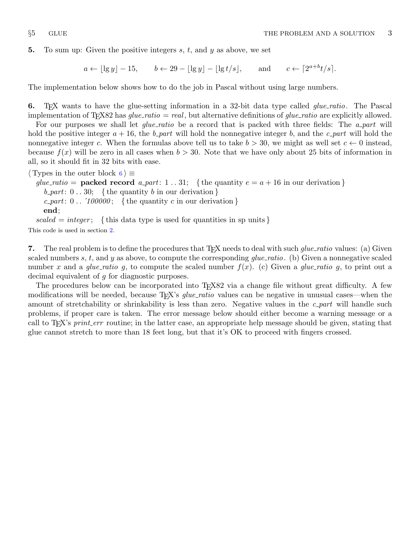<span id="page-3-0"></span>**5.** To sum up: Given the positive integers  $s, t$ , and  $y$  as above, we set

 $a \leftarrow |\lg y| - 15, \quad b \leftarrow 29 - |\lg y| - |\lg t/s|, \quad \text{and} \quad c \leftarrow \lceil 2^{a+b} t/s \rceil.$ 

The implementation below shows how to do the job in Pascal without using large numbers.

6. T<sub>EX</sub> wants to have the glue-setting information in a 32-bit data type called *glue-ratio*. The Pascal implementation of T<sub>E</sub>X82 has glue\_ratio = real, but alternative definitions of glue\_ratio are explicitly allowed.

For our purposes we shall let  $glue\_ratio$  be a record that is packed with three fields: The a part will hold the positive integer  $a + 16$ , the b *part* will hold the nonnegative integer b, and the c *part* will hold the nonnegative integer c. When the formulas above tell us to take  $b > 30$ , we might as well set  $c \leftarrow 0$  instead, because  $f(x)$  will be zero in all cases when  $b > 30$ . Note that we have only about 25 bits of information in all, so it should fit in 32 bits with ease.

 $\langle$  Types in the outer block 6  $\rangle \equiv$ glue ratio = **packed record** a part: 1 . . 31; { the quantity  $e = a + 16$  in our derivation }  $b$ -*part*:  $0 \ldots 30$ ; {the quantity b in our derivation } c part:  $0$ .. '100000; { the quantity c in our derivation } end;

scaled = integer; {this data type is used for quantities in sp units} This code is used in section [2](#page-1-0).

7. The real problem is to define the procedures that T<sub>F</sub>X needs to deal with such *glue\_ratio* values: (a) Given scaled numbers s, t, and y as above, to compute the corresponding  $glue\_ratio$ . (b) Given a nonnegative scaled number x and a glue-ratio g, to compute the scaled number  $f(x)$ . (c) Given a glue-ratio g, to print out a decimal equivalent of g for diagnostic purposes.

The procedures below can be incorporated into T<sub>E</sub>X82 via a change file without great difficulty. A few modifications will be needed, because T<sub>EX</sub>'s *glue\_ratio* values can be negative in unusual cases—when the amount of stretchability or shrinkability is less than zero. Negative values in the  $c$ -part will handle such problems, if proper care is taken. The error message below should either become a warning message or a call to T<sub>E</sub>X's *print\_err* routine; in the latter case, an appropriate help message should be given, stating that glue cannot stretch to more than 18 feet long, but that it's OK to proceed with fingers crossed.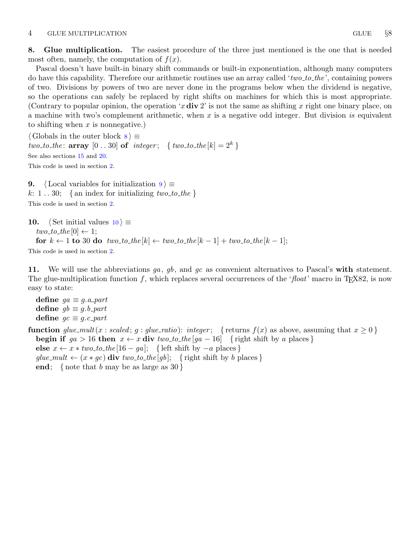<span id="page-4-0"></span>8. Glue multiplication. The easiest procedure of the three just mentioned is the one that is needed most often, namely, the computation of  $f(x)$ .

Pascal doesn't have built-in binary shift commands or built-in exponentiation, although many computers do have this capability. Therefore our arithmetic routines use an array called 'two to the', containing powers of two. Divisions by powers of two are never done in the programs below when the dividend is negative, so the operations can safely be replaced by right shifts on machines for which this is most appropriate. (Contrary to popular opinion, the operation 'x  $div 2'$  is not the same as shifting x right one binary place, on a machine with two's complement arithmetic, when  $x$  is a negative odd integer. But division is equivalent to shifting when  $x$  is nonnegative.)

 $\langle$  Globals in the outer block  $8 \rangle \equiv$ two\_to\_the: array  $[0..30]$  of *integer*; { two\_to\_the  $[k] = 2^k$  } See also sections [15](#page-6-0) and [20.](#page-7-0) This code is used in section [2](#page-1-0).

9. (Local variables for initialization 9)  $\equiv$ k: 1...30; { an index for initializing two-to-the } This code is used in section [2](#page-1-0).

```
10. \langle Set initial values 10 \rangle \equivtwo\_to\_the[0] \leftarrow 1;for k \leftarrow 1 to 30 do two to the [k] \leftarrow two\_to\_the[k-1] + two\_to\_the[k-1];This code is used in section 2.
```
11. We will use the abbreviations  $ga, gb$ , and  $gc$  as convenient alternatives to Pascal's with statement. The glue-multiplication function f, which replaces several occurrences of the 'float' macro in T<sub>E</sub>X82, is now easy to state:

define  $ga \equiv g.a$ -part define  $gb \equiv g.b$ -part define  $gc \equiv g.c\_part$ 

function glue\_mult(x : scaled; g : glue\_ratio): integer; { returns  $f(x)$  as above, assuming that  $x \ge 0$ } **begin if**  $ga > 16$  then  $x \leftarrow x$  div two to the  $[ga - 16]$  { right shift by a places } else  $x \leftarrow x * two_to-the[16 - qa];$  { left shift by  $-a$  places } glue\_mult  $\leftarrow$   $(x * gc)$  div two\_to\_the [gb]; { right shift by b places } end; { note that b may be as large as  $30$ }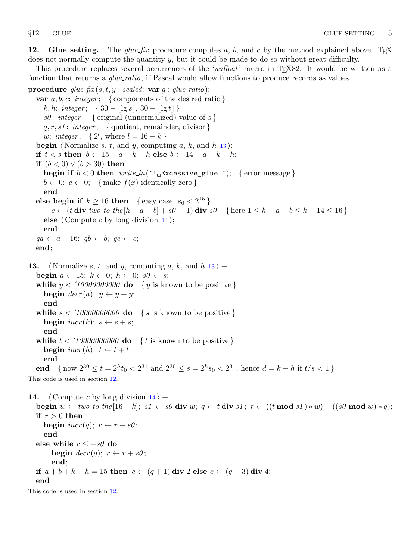<span id="page-5-0"></span>12. Glue setting. The glue fix procedure computes a, b, and c by the method explained above. TrX does not normally compute the quantity y, but it could be made to do so without great difficulty.

This procedure replaces several occurrences of the 'unfloat' macro in T<sub>E</sub>X82. It would be written as a function that returns a *glue-ratio*, if Pascal would allow functions to produce records as values.

procedure  $glue\_fix(s, t, y : scaled; var g : glue\_ratio);$ var  $a, b, c: integer; \{ components of the desired ratio \}$ k, h: integer; {  $30 - \log s$ ,  $30 - \log t$  } s0: integer; { original (unnormalized) value of s }  $q, r, s1$ : *integer*; { quotient, remainder, divisor } *w*: *integer*; {  $2^{l}$ , where  $l = 16 - k$  } **begin** (Normalize s, t, and y, computing a, k, and h 13); if  $t < s$  then  $b \leftarrow 15 - a - k + h$  else  $b \leftarrow 14 - a - k + h$ ; **if**  $(b < 0) ∨ (b > 30)$  then begin if  $b < 0$  then  $write\_ln($  [  $\exists$  Excessive glue. [; { error message}  $b \leftarrow 0$ ;  $c \leftarrow 0$ ; { make  $f(x)$  identically zero } end else begin if  $k \ge 16$  then { easy case,  $s_0 < 2^{15}$ } c ← (t div two\_to\_the [h – a – b] + s0 – 1) div s0 { here  $1 \le h - a - b \le k - 14 \le 16$  } else  $\langle$  Compute c by long division 14 $\rangle$ ; end;  $ga \leftarrow a + 16; \; gb \leftarrow b; \; gc \leftarrow c;$ end; 13. (Normalize s, t, and y, computing a, k, and h  $13$ )  $\equiv$ begin  $a \leftarrow 15; k \leftarrow 0; h \leftarrow 0; s\theta \leftarrow s;$ while  $y < 10000000000$  do  $\{y \text{ is known to be positive}\}\$ begin  $decr(a); y \leftarrow y + y;$ end; while  $s < 10000000000$  do { s is known to be positive } begin  $\text{incr}(k)$ ;  $s \leftarrow s + s$ ; end; while  $t < 10000000000$  do { t is known to be positive } begin  $\text{incr}(h)$ ;  $t \leftarrow t + t$ ; end; end { now  $2^{30} \le t = 2^h t_0 < 2^{31}$  and  $2^{30} \le s = 2^k s_0 < 2^{31}$ , hence  $d = k - h$  if  $t/s < 1$ } This code is used in section 12. 14. (Compute c by long division 14)  $\equiv$ begin  $w \leftarrow two\_to\_the[16-k]$ ;  $s1 \leftarrow s0$  div  $w$ ;  $q \leftarrow t$  div  $s1$ ;  $r \leftarrow ((t \mod s1) * w) - ((s0 \mod w) * q)$ ; if  $r > 0$  then begin  $\text{incr}(q)$ ;  $r \leftarrow r - s\theta$ ; end else while  $r \leq -s\theta$  do begin  $decr(q); r \leftarrow r + s\theta;$ end;

if  $a+b+k-h=15$  then  $c \leftarrow (q+1)$  div 2 else  $c \leftarrow (q+3)$  div 4;

end

This code is used in section 12.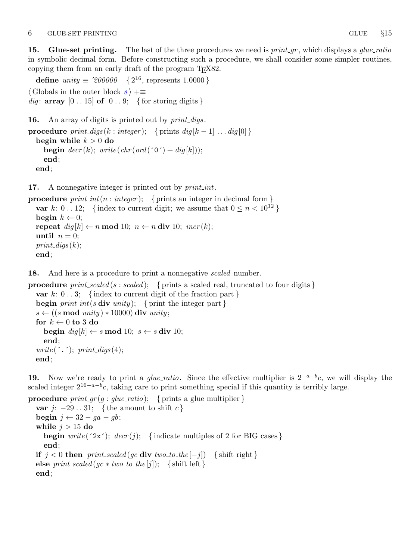<span id="page-6-0"></span>15. Glue-set printing. The last of the three procedures we need is  $print\_gr$ , which displays a glue-ratio in symbolic decimal form. Before constructing such a procedure, we shall consider some simpler routines, copying them from an early draft of the program T<sub>E</sub>X82.

**define**  $unity \equiv 200000 \{2^{16}, \text{ represents } 1.0000\}$  $\langle$  Globals in the outer block  $8$   $\rangle$  +≡ dig: array  $[0 \dots 15]$  of  $[0 \dots 9]$ ; { for storing digits }

16. An array of digits is printed out by *print\_digs*.

```
procedure print\_digs(k : integer); { prints dig[k-1] \ldots dig[0] }
  begin while k > 0 do
    begin decr(k); write (chr(ord('0') + dig[k]));
    end;
  end;
```
17. A nonnegative integer is printed out by *print\_int*.

```
procedure print\_int(n : integer); { prints an integer in decimal form }
  var k: 0...12; {index to current digit; we assume that 0 \le n < 10^{12}}
  begin k \leftarrow 0;
  repeat dig[k] \leftarrow n \mod 10; \; n \leftarrow n \text{ div } 10; \; incr(k);until n = 0;
  print\_digs(k);end;
```
18. And here is a procedure to print a nonnegative *scaled* number.

**procedure** print\_scaled (s : scaled); { prints a scaled real, truncated to four digits } var k:  $0 \ldots 3$ ; {index to current digit of the fraction part } **begin** print int(s div unity); { print the integer part }  $s \leftarrow ((s \mod unity) * 10000)$  div unity; for  $k \leftarrow 0$  to 3 do begin  $\text{dig}[k] \leftarrow s \mod 10; s \leftarrow s \text{ div } 10;$ end; write  $(\cdot, \cdot);$  print\_digs (4); end;

19. Now we're ready to print a *glue\_ratio*. Since the effective multiplier is  $2^{-a-b}c$ , we will display the scaled integer  $2^{16-a-b}c$ , taking care to print something special if this quantity is terribly large.

```
procedure print.gr(g: glue\_ratio); { prints a glue multiplier }
  var j: -29...31; { the amount to shift c }
  begin j \leftarrow 32 - ga - gb;while j > 15 do
    begin write (2x^{\prime}); decr(j); { indicate multiples of 2 for BIG cases }
    end;
  if j < 0 then print_scaled (gc div two_to_the [-j]) { shift right }
  else print\_scaled (gc * two_to_the[j]); { shift left }
  end;
```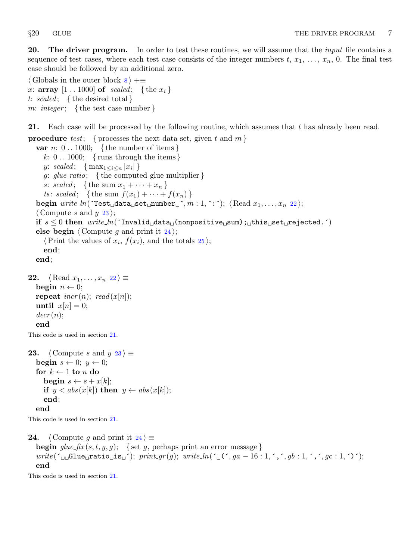<span id="page-7-0"></span>20. The driver program. In order to test these routines, we will assume that the *input* file contains a sequence of test cases, where each test case consists of the integer numbers  $t, x_1, \ldots, x_n, 0$ . The final test case should be followed by an additional zero.

 $\langle$  Globals in the outer block  $8$   $\rangle$  +≡ x: array  $[1 \tcdot 1000]$  of scaled; {the  $x_i$ } t: scaled; { the desired total } m: integer; {the test case number}

21. Each case will be processed by the following routine, which assumes that t has already been read.

**procedure** test; { processes the next data set, given t and  $m$  } var  $n: 0...1000; \{$  the number of items  $\}$ k:  $0 \ldots 1000$ ; { runs through the items } y: scaled;  $\{ \max_{1 \leq i \leq n} |x_i| \}$ g: glue\_ratio; { the computed glue multiplier } s: scaled; {the sum  $x_1 + \cdots + x_n$  } ts: scaled; {the sum  $f(x_1) + \cdots + f(x_n)$ } begin write  $ln($  Test data set number  $, m : 1, : \cdot)$ ;  $\langle$  Read  $x_1, \ldots, x_n 22 \rangle$ ;  $\langle$  Compute s and y 23 $\rangle$ ; if  $s \leq 0$  then  $write\_ln($  Invalid  $data$  (nonpositive sum); this set rejected. ^) else begin  $\langle$  Compute g and print it 24 $\rangle$ ;  $\langle$  Print the values of  $x_i, f(x_i)$ , and the totals  $25$ ; end; end; **22.**  $\langle$  Read  $x_1, \ldots, x_n$  22 $\rangle \equiv$ begin  $n \leftarrow 0$ ; repeat  $\text{incr}(n)$ ;  $\text{read}(x[n])$ ; until  $x[n] = 0$ ;  $decr(n)$ ; end This code is used in section 21. 23.  $\langle$  Compute s and y 23  $\rangle \equiv$ begin  $s \leftarrow 0$ ;  $y \leftarrow 0$ ; for  $k \leftarrow 1$  to n do begin  $s \leftarrow s + x[k]$ ; if  $y < abs(x[k])$  then  $y \leftarrow abs(x[k])$ ; end; end This code is used in section 21. 24. (Compute g and print it  $24$ ) ≡ **begin**  $glue\_fix(s, t, y, g);$  { set g, perhaps print an error message }  $write(\uparrow_{\text{u}} \text{Glue}_{\text{u}} \text{ratio}_{\text{u}} \text{is}_{\text{u}}'); print_{\text{g}}(g); write\_ln(\uparrow_{\text{u}} (\uparrow, ga - 16:1, \uparrow, \uparrow, gb:1, \uparrow, \uparrow, gc:1, \uparrow)$ ; end This code is used in section 21.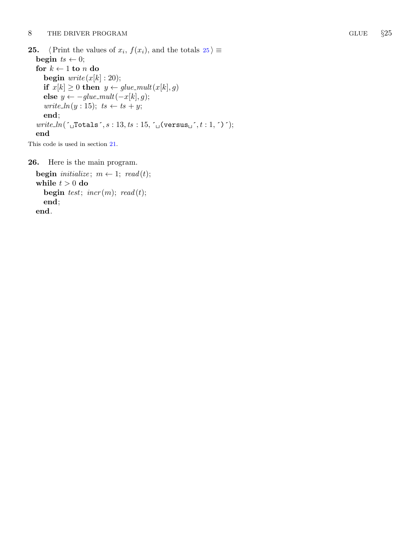<span id="page-8-0"></span>25.  $\langle$  Print the values of  $x_i, f(x_i)$ , and the totals  $25 \rangle \equiv$ begin  $ts \leftarrow 0;$ for  $k \leftarrow 1$  to n do begin  $write(x[k]: 20);$ if  $x[k] \geq 0$  then  $y \leftarrow glue\_mult(x[k], g)$ else  $y \leftarrow -glue\_mult(-x[k], g);$  $write\_ln(y: 15);$   $ts \leftarrow ts + y;$  $\mathbf{end};$ write ln (´ Totals ´, s : 13 , ts : 15 , ´ (versus ´, t : 1 , ´ ) ´); end

This code is used in section [21](#page-7-0) .

26. Here is the main program.

```
begin initialize; m \leftarrow 1; read(t);
while t > 0 do
   begin test; incr(m); read(t);
   \hspace{.01em}\textbf{end}end
.
```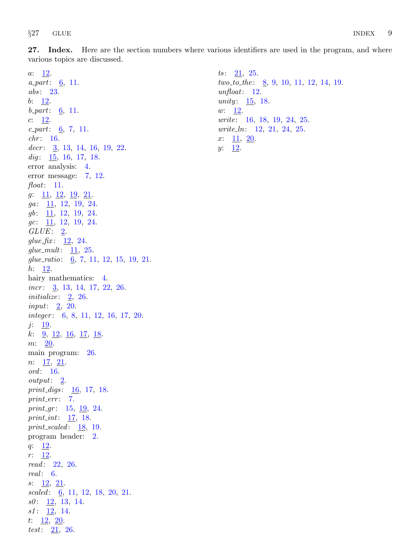<span id="page-9-0"></span>27. Index. Here are the section numbers where various identifiers are used in the program, and where various topics are discussed.

 $a: \quad \underline{12}.$  $a$ -part:  $6, 11$  $6, 11$  $6, 11$ . abs: [23.](#page-7-0)  $b: \underline{12}.$  $b_{\textit{-part}}: \underline{6}, 11.$  $b_{\textit{-part}}: \underline{6}, 11.$  $c: \underline{12}$  $c: \underline{12}$  $c: \underline{12}$ .  $c$ -part:  $\underline{6}$ , [7,](#page-3-0) [11.](#page-4-0)  $chr: 16.$  $chr: 16.$  $chr: 16.$  $decr: \underline{3}, 13, 14, 16, 19, 22.$  $decr: \underline{3}, 13, 14, 16, 19, 22.$  $decr: \underline{3}, 13, 14, 16, 19, 22.$  $decr: \underline{3}, 13, 14, 16, 19, 22.$  $decr: \underline{3}, 13, 14, 16, 19, 22.$  $decr: \underline{3}, 13, 14, 16, 19, 22.$  $decr: \underline{3}, 13, 14, 16, 19, 22.$  $decr: \underline{3}, 13, 14, 16, 19, 22.$  $decr: \underline{3}, 13, 14, 16, 19, 22.$  $decr: \underline{3}, 13, 14, 16, 19, 22.$  $decr: \underline{3}, 13, 14, 16, 19, 22.$  $decr: \underline{3}, 13, 14, 16, 19, 22.$  $dig: \underline{15}$ , [16,](#page-6-0) [17](#page-6-0), [18](#page-6-0). error analysis: [4.](#page-2-0) error message: [7](#page-3-0), [12](#page-5-0). float: [11.](#page-4-0)  $g: \underline{11}, \underline{12}, \underline{19}, \underline{21}.$  $g: \underline{11}, \underline{12}, \underline{19}, \underline{21}.$  $g: \underline{11}, \underline{12}, \underline{19}, \underline{21}.$  $ga: \underline{11}, 12, 19, 24.$  $ga: \underline{11}, 12, 19, 24.$  $ga: \underline{11}, 12, 19, 24.$  $ga: \underline{11}, 12, 19, 24.$  $ga: \underline{11}, 12, 19, 24.$  $ga: \underline{11}, 12, 19, 24.$  $ga: \underline{11}, 12, 19, 24.$  $gb: \underline{11}, 12, 19, 24.$  $gb: \underline{11}, 12, 19, 24.$  $gb: \underline{11}, 12, 19, 24.$  $gb: \underline{11}, 12, 19, 24.$  $gb: \underline{11}, 12, 19, 24.$  $gb: \underline{11}, 12, 19, 24.$  $gb: \underline{11}, 12, 19, 24.$  $gc: \underline{11}, 12, 19, 24.$  $gc: \underline{11}, 12, 19, 24.$  $gc: \underline{11}, 12, 19, 24.$  $gc: \underline{11}, 12, 19, 24.$  $gc: \underline{11}, 12, 19, 24.$  $gc: \underline{11}, 12, 19, 24.$  $gc: \underline{11}, 12, 19, 24.$  $GLUE: 2.$  $GLUE: 2.$ glue  $\text{fix:} \quad \underline{12}, \ 24.$  $\text{fix:} \quad \underline{12}, \ 24.$  $\text{fix:} \quad \underline{12}, \ 24.$  $\text{fix:} \quad \underline{12}, \ 24.$  $\text{fix:} \quad \underline{12}, \ 24.$ glue\_mult:  $11, 25$  $11, 25$  $11, 25$ .  $glue\_ratio: \underline{6}, 7, 11, 12, 15, 19, 21.$  $glue\_ratio: \underline{6}, 7, 11, 12, 15, 19, 21.$  $glue\_ratio: \underline{6}, 7, 11, 12, 15, 19, 21.$  $glue\_ratio: \underline{6}, 7, 11, 12, 15, 19, 21.$  $glue\_ratio: \underline{6}, 7, 11, 12, 15, 19, 21.$  $glue\_ratio: \underline{6}, 7, 11, 12, 15, 19, 21.$  $glue\_ratio: \underline{6}, 7, 11, 12, 15, 19, 21.$  $glue\_ratio: \underline{6}, 7, 11, 12, 15, 19, 21.$  $glue\_ratio: \underline{6}, 7, 11, 12, 15, 19, 21.$  $glue\_ratio: \underline{6}, 7, 11, 12, 15, 19, 21.$  $glue\_ratio: \underline{6}, 7, 11, 12, 15, 19, 21.$  $glue\_ratio: \underline{6}, 7, 11, 12, 15, 19, 21.$  $glue\_ratio: \underline{6}, 7, 11, 12, 15, 19, 21.$  $h: \underline{12}$  $h: \underline{12}$  $h: \underline{12}$ . hairy mathematics: [4](#page-2-0).  $incr$ :  $\frac{3}{2}, 13, 14, 17, 22, 26$  $\frac{3}{2}, 13, 14, 17, 22, 26$  $\frac{3}{2}, 13, 14, 17, 22, 26$  $\frac{3}{2}, 13, 14, 17, 22, 26$  $\frac{3}{2}, 13, 14, 17, 22, 26$  $\frac{3}{2}, 13, 14, 17, 22, 26$  $\frac{3}{2}, 13, 14, 17, 22, 26$  $\frac{3}{2}, 13, 14, 17, 22, 26$  $\frac{3}{2}, 13, 14, 17, 22, 26$  $\frac{3}{2}, 13, 14, 17, 22, 26$ . initialize:  $2, 26$  $2, 26$  $2, 26$ . input:  $2, 20$  $2, 20$ . integer: [6,](#page-3-0) [8,](#page-4-0) [11,](#page-4-0) [12,](#page-5-0) [16,](#page-6-0) [17,](#page-6-0) [20.](#page-7-0)  $j: \underline{19}$  $j: \underline{19}$  $j: \underline{19}$ .  $k: \frac{9}{2}, \frac{12}{2}, \frac{16}{2}, \frac{17}{2}, \frac{18}{2}.$  $k: \frac{9}{2}, \frac{12}{2}, \frac{16}{2}, \frac{17}{2}, \frac{18}{2}.$  $k: \frac{9}{2}, \frac{12}{2}, \frac{16}{2}, \frac{17}{2}, \frac{18}{2}.$  $k: \frac{9}{2}, \frac{12}{2}, \frac{16}{2}, \frac{17}{2}, \frac{18}{2}.$  $k: \frac{9}{2}, \frac{12}{2}, \frac{16}{2}, \frac{17}{2}, \frac{18}{2}.$  $k: \frac{9}{2}, \frac{12}{2}, \frac{16}{2}, \frac{17}{2}, \frac{18}{2}.$  $k: \frac{9}{2}, \frac{12}{2}, \frac{16}{2}, \frac{17}{2}, \frac{18}{2}.$  $m: \quad 20.$  $m: \quad 20.$  $m: \quad 20.$ main program: [26.](#page-8-0)  $n: \underline{17}, \underline{21}.$ ord: [16](#page-6-0).  $output: \underline{2}.$ print\_digs:  $\frac{16}{5}$ , [17](#page-6-0), [18.](#page-6-0)  $print_error: 7.$  $print_error: 7.$  $print_error: 7.$ print gr:  $15, 19, 24$  $15, 19, 24$  $15, 19, 24$  $15, 19, 24$  $15, 19, 24$ . print int:  $\frac{17}{2}$  $\frac{17}{2}$  $\frac{17}{2}$ , [18.](#page-6-0) print\_scaled: [18](#page-6-0), [19.](#page-6-0) program header: [2.](#page-1-0) q: [12](#page-5-0). r: [12](#page-5-0). read: [22](#page-7-0), [26](#page-8-0).  $real: 6.$  $real: 6.$  $s: \underline{12}, \underline{21}.$  $s: \underline{12}, \underline{21}.$  $s: \underline{12}, \underline{21}.$ scaled:  $\underline{6}$  $\underline{6}$  $\underline{6}$ , [11](#page-4-0), [12,](#page-5-0) [18,](#page-6-0) [20](#page-7-0), [21](#page-7-0).  $s0: \underline{12}, 13, 14.$  $s0: \underline{12}, 13, 14.$  $s0: \underline{12}, 13, 14.$  $s0: \underline{12}, 13, 14.$  $s1: \underline{12}, 14.$  $s1: \underline{12}, 14.$ t:  $\frac{12}{20}$  $\frac{12}{20}$  $\frac{12}{20}$ . test:  $21, 26$  $21, 26$ .

 $ts: \quad 21, \quad 25.$  $ts: \quad 21, \quad 25.$  $ts: \quad 21, \quad 25.$  $ts: \quad 21, \quad 25.$  $two\_to\_the: \quad 8, 9, 10, 11, 12, 14, 19.$  $two\_to\_the: \quad 8, 9, 10, 11, 12, 14, 19.$  $two\_to\_the: \quad 8, 9, 10, 11, 12, 14, 19.$  $two\_to\_the: \quad 8, 9, 10, 11, 12, 14, 19.$  $two\_to\_the: \quad 8, 9, 10, 11, 12, 14, 19.$  $two\_to\_the: \quad 8, 9, 10, 11, 12, 14, 19.$  $two\_to\_the: \quad 8, 9, 10, 11, 12, 14, 19.$  $two\_to\_the: \quad 8, 9, 10, 11, 12, 14, 19.$  $two\_to\_the: \quad 8, 9, 10, 11, 12, 14, 19.$  $two\_to\_the: \quad 8, 9, 10, 11, 12, 14, 19.$  $two\_to\_the: \quad 8, 9, 10, 11, 12, 14, 19.$  $two\_to\_the: \quad 8, 9, 10, 11, 12, 14, 19.$  $two\_to\_the: \quad 8, 9, 10, 11, 12, 14, 19.$  $two\_to\_the: \quad 8, 9, 10, 11, 12, 14, 19.$ unfloat: [12.](#page-5-0) unity:  $\frac{15}{5}$  $\frac{15}{5}$  $\frac{15}{5}$ , [18](#page-6-0).  $w: \quad \underline{12}.$  $w: \quad \underline{12}.$  $w: \quad \underline{12}.$ write: [16,](#page-6-0) [18](#page-6-0), [19,](#page-6-0) [24,](#page-7-0) [25](#page-8-0). write ln: [12,](#page-5-0) [21](#page-7-0), [24,](#page-7-0) [25](#page-8-0).  $x: \underline{11}, \underline{20}.$  $x: \underline{11}, \underline{20}.$  $x: \underline{11}, \underline{20}.$  $y: \underline{12}$ .